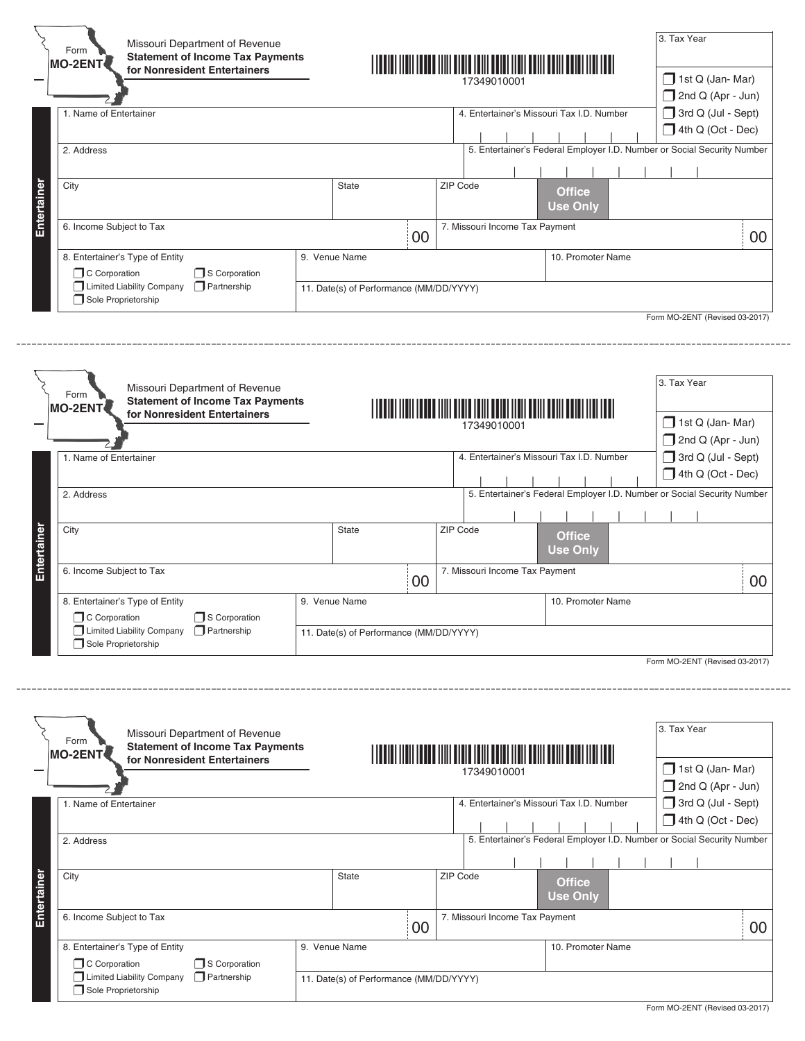| Form<br><b>MO-2ENT</b>                           |                          | Missouri Department of Revenue<br><b>Statement of Income Tax Payments</b><br>for Nonresident Entertainers |               |                                         |    |          | 17349010001                                                             |                                           |  | 3. Tax Year<br>1st Q (Jan-Mar)                                          |    |
|--------------------------------------------------|--------------------------|-----------------------------------------------------------------------------------------------------------|---------------|-----------------------------------------|----|----------|-------------------------------------------------------------------------|-------------------------------------------|--|-------------------------------------------------------------------------|----|
|                                                  |                          |                                                                                                           |               |                                         |    |          |                                                                         |                                           |  | 2nd Q (Apr - Jun)                                                       |    |
| 1. Name of Entertainer                           |                          |                                                                                                           |               |                                         |    |          |                                                                         | 4. Entertainer's Missouri Tax I.D. Number |  | 3rd Q (Jul - Sept)                                                      |    |
|                                                  |                          |                                                                                                           |               |                                         |    |          |                                                                         |                                           |  | 4th Q (Oct - Dec)                                                       |    |
|                                                  | 2. Address               |                                                                                                           |               |                                         |    |          | 5. Entertainer's Federal Employer I.D. Number or Social Security Number |                                           |  |                                                                         |    |
|                                                  |                          |                                                                                                           |               |                                         |    |          |                                                                         |                                           |  |                                                                         |    |
|                                                  |                          |                                                                                                           |               |                                         |    |          |                                                                         |                                           |  |                                                                         |    |
|                                                  | City                     |                                                                                                           |               | <b>State</b>                            |    | ZIP Code |                                                                         | <b>Office</b>                             |  |                                                                         |    |
|                                                  |                          |                                                                                                           |               |                                         |    |          |                                                                         | <b>Use Only</b>                           |  |                                                                         |    |
|                                                  | 6. Income Subject to Tax |                                                                                                           |               |                                         |    |          | 7. Missouri Income Tax Payment                                          |                                           |  |                                                                         |    |
|                                                  |                          |                                                                                                           |               |                                         | 00 |          |                                                                         |                                           |  |                                                                         | 00 |
| 8. Entertainer's Type of Entity                  |                          |                                                                                                           | 9. Venue Name |                                         |    |          |                                                                         | 10. Promoter Name                         |  |                                                                         |    |
| C Corporation                                    | S Corporation            |                                                                                                           |               |                                         |    |          |                                                                         |                                           |  |                                                                         |    |
| Limited Liability Company<br>Sole Proprietorship |                          | $\Box$ Partnership                                                                                        |               | 11. Date(s) of Performance (MM/DD/YYYY) |    |          |                                                                         |                                           |  |                                                                         |    |
|                                                  |                          |                                                                                                           |               |                                         |    |          |                                                                         |                                           |  | Form MO-2ENT (Revised 03-2017)                                          |    |
|                                                  |                          |                                                                                                           |               |                                         |    |          |                                                                         |                                           |  |                                                                         |    |
| Form                                             |                          | Missouri Department of Revenue                                                                            |               |                                         |    |          |                                                                         |                                           |  | 3. Tax Year                                                             |    |
| <b>MO-2ENT</b>                                   |                          | <b>Statement of Income Tax Payments</b>                                                                   |               |                                         |    |          |                                                                         |                                           |  |                                                                         |    |
|                                                  |                          | for Nonresident Entertainers                                                                              |               |                                         |    |          | 17349010001                                                             |                                           |  | 1st Q (Jan-Mar)                                                         |    |
|                                                  |                          |                                                                                                           |               |                                         |    |          |                                                                         |                                           |  | 2nd Q (Apr - Jun)                                                       |    |
| 1. Name of Entertainer                           |                          |                                                                                                           |               |                                         |    |          |                                                                         | 4. Entertainer's Missouri Tax I.D. Number |  | 3rd Q (Jul - Sept)                                                      |    |
|                                                  |                          |                                                                                                           |               |                                         |    |          |                                                                         |                                           |  | 4th Q (Oct - Dec)                                                       |    |
| 2. Address                                       |                          |                                                                                                           |               |                                         |    |          |                                                                         |                                           |  | 5. Entertainer's Federal Employer I.D. Number or Social Security Number |    |
|                                                  |                          |                                                                                                           |               |                                         |    |          |                                                                         |                                           |  |                                                                         |    |
| City                                             |                          |                                                                                                           |               | <b>State</b>                            |    | ZIP Code |                                                                         |                                           |  |                                                                         |    |
|                                                  |                          |                                                                                                           |               |                                         |    |          |                                                                         | <b>Office</b>                             |  |                                                                         |    |
|                                                  |                          |                                                                                                           |               |                                         |    |          |                                                                         | <b>Use Only</b>                           |  |                                                                         |    |
| 6. Income Subject to Tax                         |                          |                                                                                                           |               |                                         | 00 |          | 7. Missouri Income Tax Payment                                          |                                           |  |                                                                         | 00 |
|                                                  |                          |                                                                                                           |               |                                         |    |          |                                                                         |                                           |  |                                                                         |    |
| 8. Entertainer's Type of Entity<br>C Corporation |                          | S Corporation                                                                                             | 9. Venue Name |                                         |    |          |                                                                         | 10. Promoter Name                         |  |                                                                         |    |
| Limited Liability Company<br>Sole Proprietorship |                          | $\Box$ Partnership                                                                                        |               | 11. Date(s) of Performance (MM/DD/YYYY) |    |          |                                                                         |                                           |  |                                                                         |    |

|             | Missouri Department of Revenue<br>Form<br><b>Statement of Income Tax Payments</b><br><b>MO-2ENT</b> |                                         |                   |  |                                |                                           |  |                 |  |  | 3. Tax Year               |                          |  |
|-------------|-----------------------------------------------------------------------------------------------------|-----------------------------------------|-------------------|--|--------------------------------|-------------------------------------------|--|-----------------|--|--|---------------------------|--------------------------|--|
|             | for Nonresident Entertainers                                                                        |                                         |                   |  | 17349010001                    |                                           |  |                 |  |  |                           | $\Box$ 1st Q (Jan-Mar)   |  |
|             |                                                                                                     |                                         |                   |  |                                |                                           |  |                 |  |  | $\Box$ 2nd Q (Apr - Jun)  |                          |  |
|             | 1. Name of Entertainer                                                                              |                                         |                   |  |                                | 4. Entertainer's Missouri Tax I.D. Number |  |                 |  |  | $\Box$ 3rd Q (Jul - Sept) |                          |  |
|             |                                                                                                     |                                         |                   |  |                                |                                           |  |                 |  |  |                           | $\Box$ 4th Q (Oct - Dec) |  |
|             | 5. Entertainer's Federal Employer I.D. Number or Social Security Number<br>2. Address               |                                         |                   |  |                                |                                           |  |                 |  |  |                           |                          |  |
|             |                                                                                                     |                                         |                   |  |                                |                                           |  |                 |  |  |                           |                          |  |
|             | City                                                                                                | <b>State</b>                            |                   |  | ZIP Code                       |                                           |  | <b>Office</b>   |  |  |                           |                          |  |
| Entertainer |                                                                                                     |                                         |                   |  |                                |                                           |  | <b>Use Only</b> |  |  |                           |                          |  |
|             | 6. Income Subject to Tax                                                                            |                                         | 00                |  | 7. Missouri Income Tax Payment |                                           |  |                 |  |  | 00                        |                          |  |
|             |                                                                                                     |                                         |                   |  |                                |                                           |  |                 |  |  |                           |                          |  |
|             | 8. Entertainer's Type of Entity                                                                     | 9. Venue Name                           | 10. Promoter Name |  |                                |                                           |  |                 |  |  |                           |                          |  |
|             | C Corporation<br>S Corporation                                                                      |                                         |                   |  |                                |                                           |  |                 |  |  |                           |                          |  |
|             | <b>T</b> Limited Liability Company<br>Partnership<br>Sole Proprietorship                            | 11. Date(s) of Performance (MM/DD/YYYY) |                   |  |                                |                                           |  |                 |  |  |                           |                          |  |
|             |                                                                                                     |                                         |                   |  |                                |                                           |  |                 |  |  |                           |                          |  |